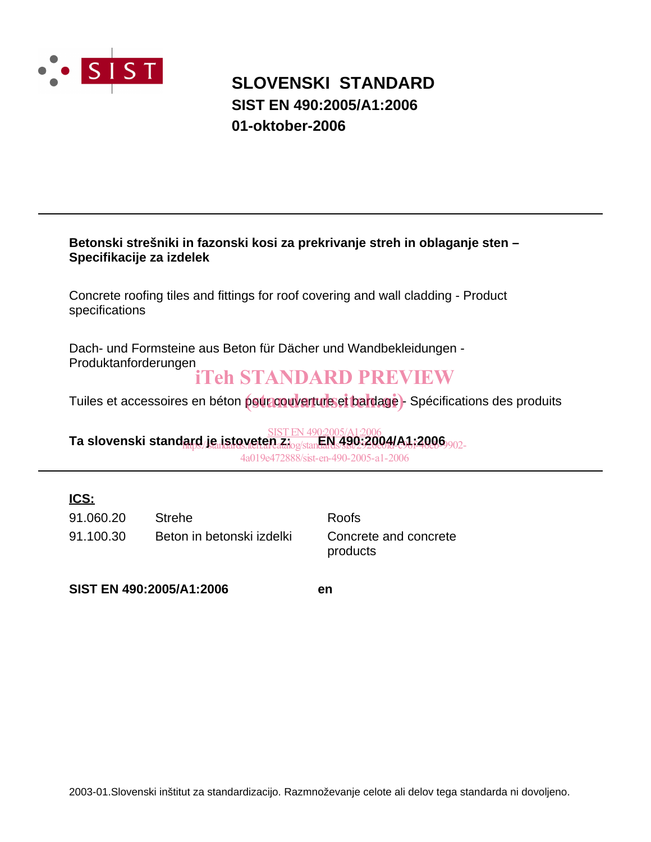

## **SLOVENSKI STANDARD SIST EN 490:2005/A1:2006 01-oktober-2006**

#### **Betonski strešniki in fazonski kosi za prekrivanje streh in oblaganje sten – Specifikacije za izdelek**

Concrete roofing tiles and fittings for roof covering and wall cladding - Product specifications

Dach- und Formsteine aus Beton für Dächer und Wandbekleidungen - Produktanforderungen

## iTeh STANDARD PREVIEW

Tuiles et accessoires en béton pour couverture et bardage)- Spécifications des produits

**Ta slovenski standard je istoveten z: EN 490:2004/A1:2006** SIST EN 490:2005/A1:2006 arg./JeanStoveten.ziog/stan<del>dards/38023200/fd-c96f-400</del>9<sub>902-</sub> 4a019e472888/sist-en-490-2005-a1-2006

### **ICS:**

91.100.30 Beton in betonski izdelki Concrete and concrete 91.060.20 Strehe Roofs

products

**SIST EN 490:2005/A1:2006 en**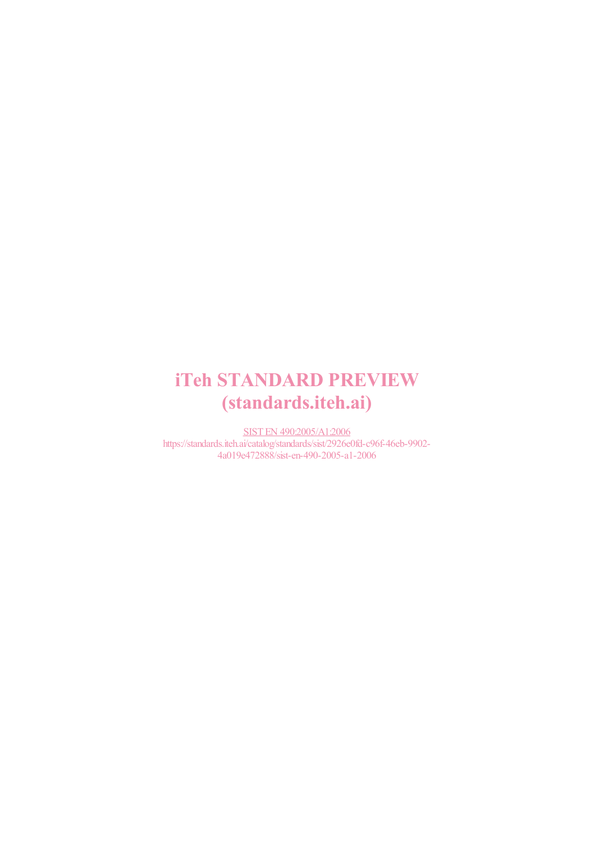# iTeh STANDARD PREVIEW (standards.iteh.ai)

SIST EN 490:2005/A1:2006 https://standards.iteh.ai/catalog/standards/sist/2926e0fd-c96f-46eb-9902- 4a019e472888/sist-en-490-2005-a1-2006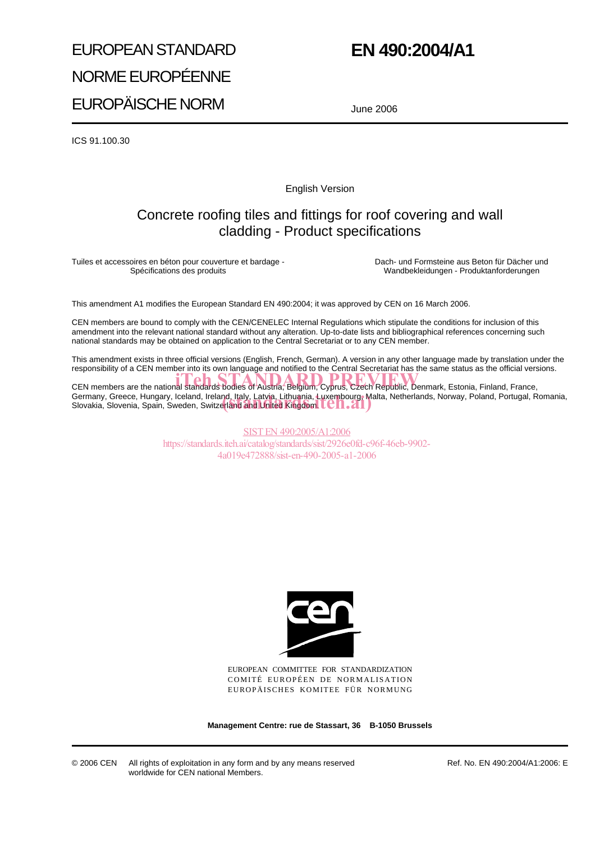# EUROPEAN STANDARD NORME EUROPÉENNE EUROPÄISCHE NORM

## **EN 490:2004/A1**

June 2006

ICS 91.100.30

English Version

### Concrete roofing tiles and fittings for roof covering and wall cladding - Product specifications

Tuiles et accessoires en béton pour couverture et bardage - Spécifications des produits

Dach- und Formsteine aus Beton für Dächer und Wandbekleidungen - Produktanforderungen

This amendment A1 modifies the European Standard EN 490:2004; it was approved by CEN on 16 March 2006.

CEN members are bound to comply with the CEN/CENELEC Internal Regulations which stipulate the conditions for inclusion of this amendment into the relevant national standard without any alteration. Up-to-date lists and bibliographical references concerning such national standards may be obtained on application to the Central Secretariat or to any CEN member.

This amendment exists in three official versions (English, French, German). A version in any other language made by translation under the responsibility of a CEN member into its own language and notified to the Central Secretariat has the same status as the official versions.

CEN members are the national standards bodies of Austria, Belgium, Cyprus, Czech Republic, Denmark, Estonia, Finland, France, Germany, Greece, Hungary, Iceland, Ireland<u>, Italy, Latvia, Lithuania, Luxembourg,</u> Malta, Netherlands, Norway, Poland, Portugal, Romania, Germany, Greece, Hungary, Iceland, Ireland, Italy, Latvia, Lithuania, Luxembourg, Ma<br>Slovakia, Slovenia, Spain, Sweden, Switzerland and United Kingdom. LCTI.

> SIST EN 490:2005/A1:2006 https://standards.iteh.ai/catalog/standards/sist/2926e0fd-c96f-46eb-9902- 4a019e472888/sist-en-490-2005-a1-2006



EUROPEAN COMMITTEE FOR STANDARDIZATION COMITÉ EUROPÉEN DE NORMALISATION EUROPÄISCHES KOMITEE FÜR NORMUNG

**Management Centre: rue de Stassart, 36 B-1050 Brussels**

© 2006 CEN All rights of exploitation in any form and by any means reserved worldwide for CEN national Members.

Ref. No. EN 490:2004/A1:2006: E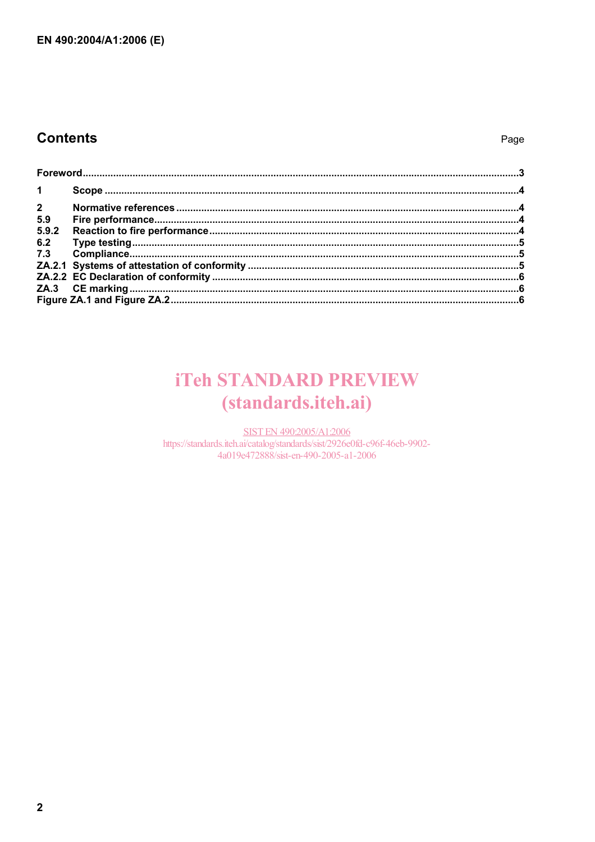### **Contents**

#### Page

| $1 \quad$      |  |  |
|----------------|--|--|
| $\overline{2}$ |  |  |
| 5.9            |  |  |
| 5.9.2          |  |  |
| 6.2            |  |  |
|                |  |  |
|                |  |  |
|                |  |  |
|                |  |  |
|                |  |  |

## **iTeh STANDARD PREVIEW** (standards.iteh.ai)

SIST EN 490:2005/A1:2006 https://standards.iteh.ai/catalog/standards/sist/2926e0fd-c96f-46eb-9902-4a019e472888/sist-en-490-2005-a1-2006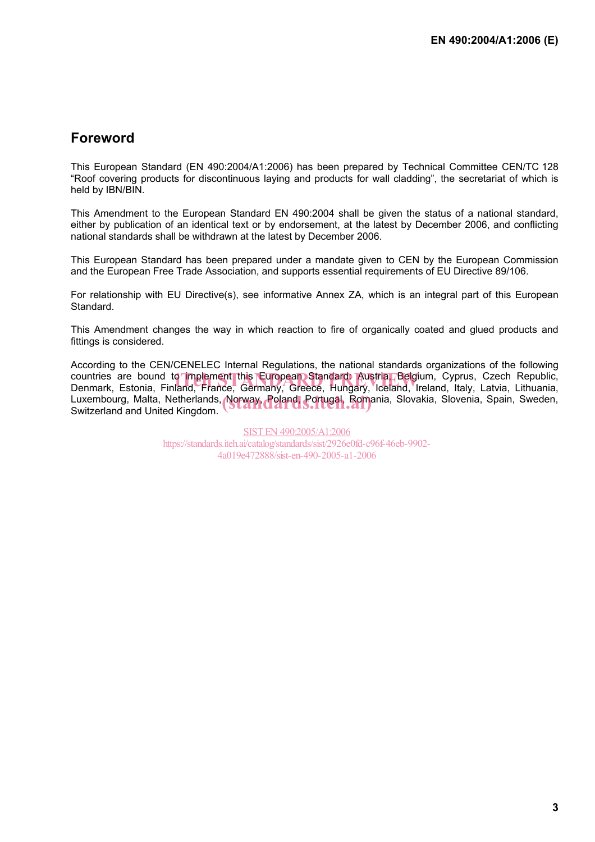### **Foreword**

This European Standard (EN 490:2004/A1:2006) has been prepared by Technical Committee CEN/TC 128 "Roof covering products for discontinuous laying and products for wall cladding", the secretariat of which is held by IBN/BIN.

This Amendment to the European Standard EN 490:2004 shall be given the status of a national standard, either by publication of an identical text or by endorsement, at the latest by December 2006, and conflicting national standards shall be withdrawn at the latest by December 2006.

This European Standard has been prepared under a mandate given to CEN by the European Commission and the European Free Trade Association, and supports essential requirements of EU Directive 89/106.

For relationship with EU Directive(s), see informative Annex ZA, which is an integral part of this European Standard.

This Amendment changes the way in which reaction to fire of organically coated and glued products and fittings is considered.

According to the CEN/CENELEC Internal Regulations, the national standards organizations of the following countries are bound to implement this European Standard: Austria, Belgium, Cyprus, Czech Republic,<br>Denmark. Estonia. Finland. France. Germany. Greece. Hungary. Iceland. Ireland. Italy. Latvia. Lithuania. Denmark, Estonia, Finland, France, Germany, Greece, Hungary, Iceland, Ireland, Italy, Latvia, Lithuania, Luxembourg, Malta, Netherlands, Norway, Poland, Portugal, Romania, Slovakia, Slovenia, Spain, Sweden,<br>Switzerland and United Kingdom. Switzerland and United Kingdom.

> SIST EN 490:2005/A1:2006 https://standards.iteh.ai/catalog/standards/sist/2926e0fd-c96f-46eb-9902- 4a019e472888/sist-en-490-2005-a1-2006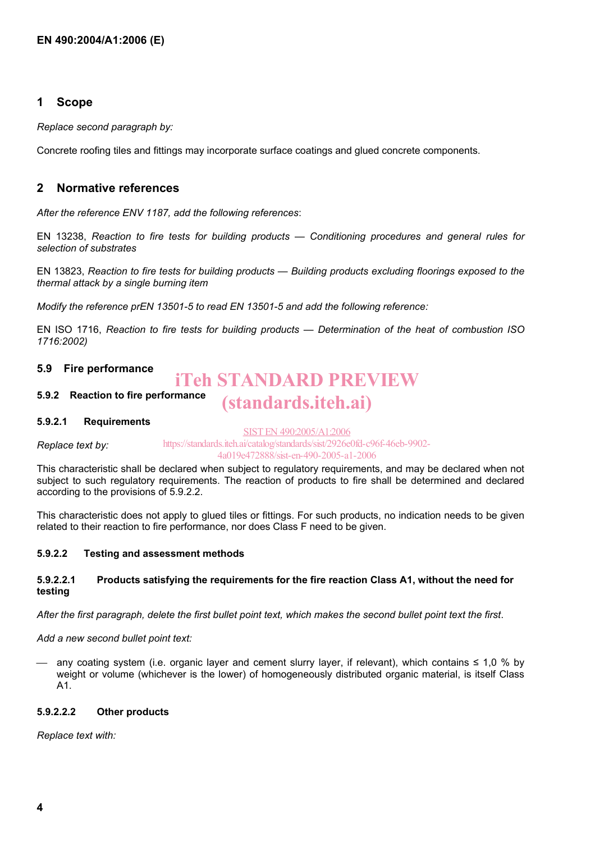#### **1 Scope**

*Replace second paragraph by:* 

Concrete roofing tiles and fittings may incorporate surface coatings and glued concrete components.

#### **2 Normative references**

*After the reference ENV 1187, add the following references*:

EN 13238, *Reaction to fire tests for building products — Conditioning procedures and general rules for selection of substrates* 

EN 13823, *Reaction to fire tests for building products — Building products excluding floorings exposed to the thermal attack by a single burning item* 

*Modify the reference prEN 13501-5 to read EN 13501-5 and add the following reference:* 

EN ISO 1716, *Reaction to fire tests for building products — Determination of the heat of combustion ISO 1716:2002)* 

#### **5.9 Fire performance**

#### **5.9.2 Reaction to fire performance**  iTeh STANDARD PREVIEW (standards.iteh.ai)

#### **5.9.2.1 Requirements**

*Replace text by:*  SIST EN 490:2005/A1:2006 https://standards.iteh.ai/catalog/standards/sist/2926e0fd-c96f-46eb-9902- 4a019e472888/sist-en-490-2005-a1-2006

This characteristic shall be declared when subject to regulatory requirements, and may be declared when not subject to such regulatory requirements. The reaction of products to fire shall be determined and declared according to the provisions of 5.9.2.2.

This characteristic does not apply to glued tiles or fittings. For such products, no indication needs to be given related to their reaction to fire performance, nor does Class F need to be given.

#### **5.9.2.2 Testing and assessment methods**

#### **5.9.2.2.1 Products satisfying the requirements for the fire reaction Class A1, without the need for testing**

*After the first paragraph, delete the first bullet point text, which makes the second bullet point text the first*.

*Add a new second bullet point text:* 

 any coating system (i.e. organic layer and cement slurry layer, if relevant), which contains ≤ 1,0 % by weight or volume (whichever is the lower) of homogeneously distributed organic material, is itself Class A1.

#### **5.9.2.2.2 Other products**

*Replace text with:*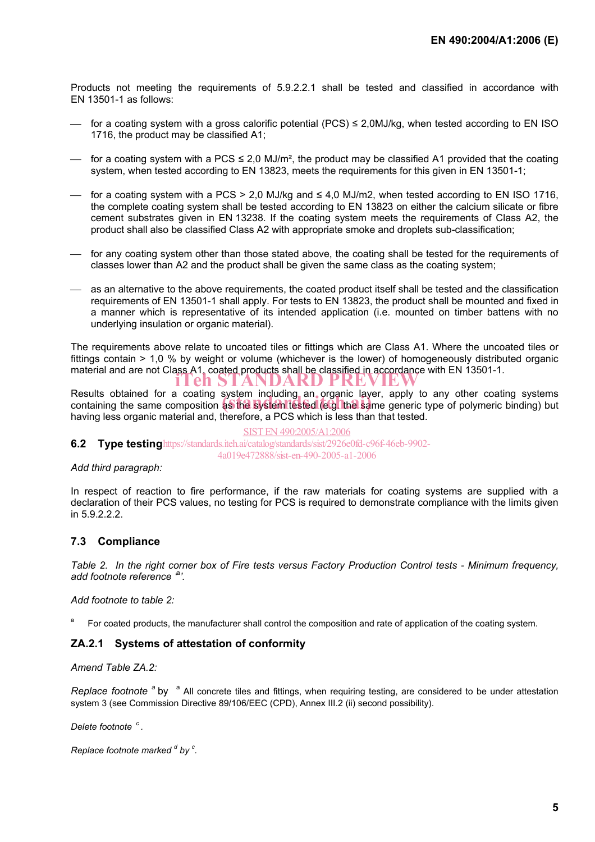Products not meeting the requirements of 5.9.2.2.1 shall be tested and classified in accordance with EN 13501-1 as follows:

- $-$  for a coating system with a gross calorific potential (PCS) ≤ 2.0MJ/kg, when tested according to EN ISO 1716, the product may be classified A1;
- $-$  for a coating system with a PCS ≤ 2,0 MJ/m<sup>2</sup>, the product may be classified A1 provided that the coating system, when tested according to EN 13823, meets the requirements for this given in EN 13501-1;
- for a coating system with a PCS > 2,0 MJ/kg and ≤ 4,0 MJ/m2, when tested according to EN ISO 1716, the complete coating system shall be tested according to EN 13823 on either the calcium silicate or fibre cement substrates given in EN 13238. If the coating system meets the requirements of Class A2, the product shall also be classified Class A2 with appropriate smoke and droplets sub-classification;
- for any coating system other than those stated above, the coating shall be tested for the requirements of classes lower than A2 and the product shall be given the same class as the coating system;
- as an alternative to the above requirements, the coated product itself shall be tested and the classification requirements of EN 13501-1 shall apply. For tests to EN 13823, the product shall be mounted and fixed in a manner which is representative of its intended application (i.e. mounted on timber battens with no underlying insulation or organic material).

The requirements above relate to uncoated tiles or fittings which are Class A1. Where the uncoated tiles or fittings contain > 1,0 % by weight or volume (whichever is the lower) of homogeneously distributed organic material and are not Class A1, coated products shall be classified in accordance with EN 13501-1.<br> **iTeh STANDARD PREVIEW** 

Results obtained for a coating system including an organic layer, apply to any other coating systems Results obtained for a coating system including an organic layer, apply to any other coating systems<br>containing the same composition as the system tested (e.g. the same generic type of polymeric binding) but having less organic material and, therefore, a PCS which is less than that tested.

#### SIST EN 490:2005/A1:2006

**6.2 Type testing** https://standards.iteh.ai/catalog/standards/sist/2926e0fd-c96f-46eb-9902-4a019e472888/sist-en-490-2005-a1-2006

#### *Add third paragraph:*

In respect of reaction to fire performance, if the raw materials for coating systems are supplied with a declaration of their PCS values, no testing for PCS is required to demonstrate compliance with the limits given in 5.9.2.2.2.

#### **7.3 Compliance**

*Table 2. In the right corner box of Fire tests versus Factory Production Control tests - Minimum frequency, add footnote reference '*<sup>a</sup> *'.* 

*Add footnote to table 2:* 

a For coated products, the manufacturer shall control the composition and rate of application of the coating system.

#### **ZA.2.1 Systems of attestation of conformity**

*Amend Table ZA.2:* 

Replace footnote <sup>a</sup> by <sup>a</sup> All concrete tiles and fittings, when requiring testing, are considered to be under attestation system 3 (see Commission Directive 89/106/EEC (CPD), Annex III.2 (ii) second possibility).

*Delete footnote c .* 

```
Replace footnote marked <sup>d</sup> by <sup>c</sup>.
```